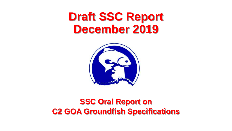# **Draft SSC Report December 2019**



#### **SSC Oral Report on C2 GOA Groundfish Specifications**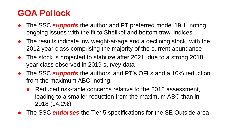### **GOA Pollock**

- The SSC **supports** the author and PT preferred model 19.1, noting ongoing issues with the fit to Shelikof and bottom trawl indices.
- The results indicate low weight-at-age and a declining stock, with the 2012 year-class comprising the majority of the current abundance
- The stock is projected to stabilize after 2021, due to a strong 2018 year class observed in 2019 survey data
- The SSC *supports* the authors' and PT's OFLs and a 10% reduction from the maximum ABC, noting:
	- Reduced risk-table concerns relative to the 2018 assessment, leading to a smaller reduction from the maximum ABC than in 2018 (14.2%)
- The SSC *endorses* the Tier 5 specifications for the SE Outside area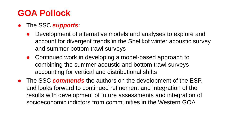### **GOA Pollock**

- The SSC *supports*:
	- Development of alternative models and analyses to explore and account for divergent trends in the Shelikof winter acoustic survey and summer bottom trawl surveys
	- Continued work in developing a model-based approach to combining the summer acoustic and bottom trawl surveys accounting for vertical and distributional shifts
- The SSC *commends* the authors on the development of the ESP, and looks forward to continued refinement and integration of the results with development of future assessments and integration of socioeconomic indictors from communities in the Western GOA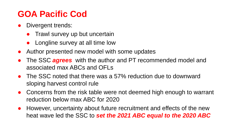### **GOA Pacific Cod**

- Divergent trends:
	- Trawl survey up but uncertain
	- Longline survey at all time low
- Author presented new model with some updates
- The SSC *agrees* with the author and PT recommended model and associated max ABCs and OFLs
- The SSC noted that there was a 57% reduction due to downward sloping harvest control rule
- Concerns from the risk table were not deemed high enough to warrant reduction below max ABC for 2020
- However, uncertainty about future recruitment and effects of the new heat wave led the SSC to *set the 2021 ABC equal to the 2020 ABC*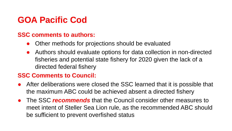### **GOA Pacific Cod**

#### **SSC comments to authors:**

- Other methods for projections should be evaluated
- Authors should evaluate options for data collection in non-directed fisheries and potential state fishery for 2020 given the lack of a directed federal fishery

#### **SSC Comments to Council:**

- After deliberations were closed the SSC learned that it is possible that the maximum ABC could be achieved absent a directed fishery
- The SSC *recommends* that the Council consider other measures to meet intent of Steller Sea Lion rule, as the recommended ABC should be sufficient to prevent overfished status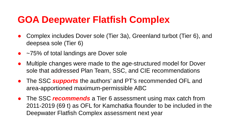## **GOA Deepwater Flatfish Complex**

- Complex includes Dover sole (Tier 3a), Greenland turbot (Tier 6), and deepsea sole (Tier 6)
- ~75% of total landings are Dover sole
- Multiple changes were made to the age-structured model for Dover sole that addressed Plan Team, SSC, and CIE recommendations
- The SSC *supports* the authors' and PT's recommended OFL and area-apportioned maximum-permissible ABC
- The SSC *recommends* a Tier 6 assessment using max catch from 2011-2019 (69 t) as OFL for Kamchatka flounder to be included in the Deepwater Flatfish Complex assessment next year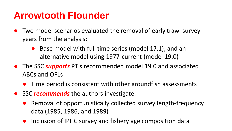## **Arrowtooth Flounder**

- Two model scenarios evaluated the removal of early trawl survey years from the analysis:
	- Base model with full time series (model 17.1), and an alternative model using 1977-current (model 19.0)
- The SSC *supports* PT's recommended model 19.0 and associated ABCs and OFLs
	- Time period is consistent with other groundfish assessments
- SSC *recommends* the authors investigate:
	- Removal of opportunistically collected survey length-frequency data (1985, 1986, and 1989)
	- Inclusion of IPHC survey and fishery age composition data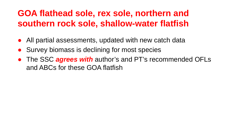### **GOA flathead sole, rex sole, northern and southern rock sole, shallow-water flatfish**

- All partial assessments, updated with new catch data
- Survey biomass is declining for most species
- The SSC *agrees with* author's and PT's recommended OFLs and ABCs for these GOA flatfish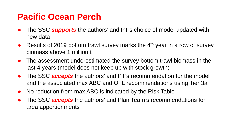#### **Pacific Ocean Perch**

- The SSC **supports** the authors' and PT's choice of model updated with new data
- Results of 2019 bottom trawl survey marks the  $4<sup>th</sup>$  year in a row of survey biomass above 1 million t
- The assessment underestimated the survey bottom trawl biomass in the last 4 years (model does not keep up with stock growth)
- The SSC *accepts* the authors' and PT's recommendation for the model and the associated max ABC and OFL recommendations using Tier 3a
- No reduction from max ABC is indicated by the Risk Table
- The SSC *accepts* the authors' and Plan Team's recommendations for area apportionments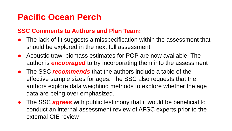#### **Pacific Ocean Perch**

#### **SSC Comments to Authors and Plan Team:**

- The lack of fit suggests a misspecification within the assessment that should be explored in the next full assessment
- Acoustic trawl biomass estimates for POP are now available. The author is *encouraged* to try incorporating them into the assessment
- The SSC *recommends* that the authors include a table of the effective sample sizes for ages. The SSC also requests that the authors explore data weighting methods to explore whether the age data are being over emphasized.
- The SSC *agrees* with public testimony that it would be beneficial to conduct an internal assessment review of AFSC experts prior to the external CIE review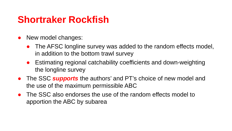## **Shortraker Rockfish**

- New model changes:
	- The AFSC longline survey was added to the random effects model, in addition to the bottom trawl survey
	- Estimating regional catchability coefficients and down-weighting the longline survey
- The SSC *supports* the authors' and PT's choice of new model and the use of the maximum permissible ABC
- The SSC also endorses the use of the random effects model to apportion the ABC by subarea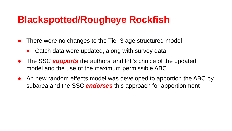## **Blackspotted/Rougheye Rockfish**

- There were no changes to the Tier 3 age structured model
	- Catch data were updated, along with survey data
- The SSC **supports** the authors' and PT's choice of the updated model and the use of the maximum permissible ABC
- An new random effects model was developed to apportion the ABC by subarea and the SSC *endorses* this approach for apportionment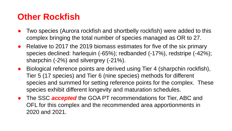#### **Other Rockfish**

- Two species (Aurora rockfish and shortbelly rockfish) were added to this complex bringing the total number of species managed as OR to 27.
- Relative to 2017 the 2019 biomass estimates for five of the six primary species declined: harlequin (-65%); redbanded (-17%), redstripe (-42%); sharpchin (-2%) and silvergrey (-21%).
- Biological reference points are derived using Tier 4 (sharpchin rockfish), Tier 5 (17 species) and Tier 6 (nine species) methods for different species and summed for setting reference points for the complex. These species exhibit different longevity and maturation schedules.
- The SSC *accepted* the GOA PT recommendations for Tier, ABC and OFL for this complex and the recommended area apportionments in 2020 and 2021.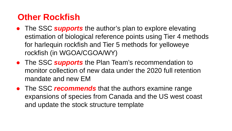#### **Other Rockfish**

- The SSC *supports* the author's plan to explore elevating estimation of biological reference points using Tier 4 methods for harlequin rockfish and Tier 5 methods for yelloweye rockfish (in WGOA/CGOA/WY)
- The SSC *supports* the Plan Team's recommendation to monitor collection of new data under the 2020 full retention mandate and new EM
- The SSC *recommends* that the authors examine range expansions of species from Canada and the US west coast and update the stock structure template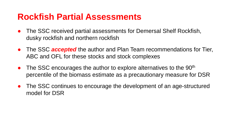#### **Rockfish Partial Assessments**

- The SSC received partial assessments for Demersal Shelf Rockfish, dusky rockfish and northern rockfish
- **The SSC** *accepted* the author and Plan Team recommendations for Tier, ABC and OFL for these stocks and stock complexes
- The SSC encourages the author to explore alternatives to the 90<sup>th</sup> percentile of the biomass estimate as a precautionary measure for DSR
- The SSC continues to encourage the development of an age-structured model for DSR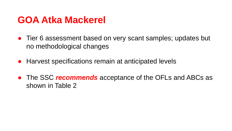## **GOA Atka Mackerel**

- Tier 6 assessment based on very scant samples; updates but no methodological changes
- Harvest specifications remain at anticipated levels
- The SSC *recommends* acceptance of the OFLs and ABCs as shown in Table 2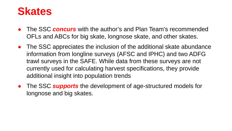## **Skates**

- The SSC *concurs* with the author's and Plan Team's recommended OFLs and ABCs for big skate, longnose skate, and other skates.
- The SSC appreciates the inclusion of the additional skate abundance information from longline surveys (AFSC and IPHC) and two ADFG trawl surveys in the SAFE. While data from these surveys are not currently used for calculating harvest specifications, they provide additional insight into population trends
- The SSC *supports* the development of age-structured models for longnose and big skates.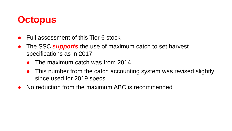## **Octopus**

- Full assessment of this Tier 6 stock
- The SSC *supports* the use of maximum catch to set harvest specifications as in 2017
	- The maximum catch was from 2014
	- This number from the catch accounting system was revised slightly since used for 2019 specs
- No reduction from the maximum ABC is recommended